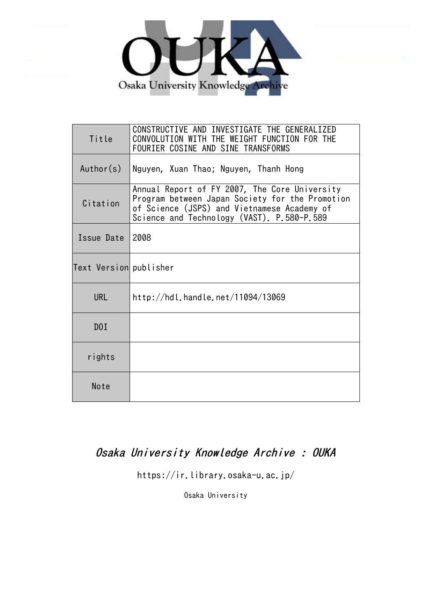

| Title                  | CONSTRUCTIVE AND INVESTIGATE THE GENERALIZED<br>CONVOLUTION WITH THE WEIGHT FUNCTION FOR THE<br>FOURIER COSINE AND SINE TRANSFORMS                                                            |
|------------------------|-----------------------------------------------------------------------------------------------------------------------------------------------------------------------------------------------|
| Author(s)              | Nguyen, Xuan Thao; Nguyen, Thanh Hong                                                                                                                                                         |
| Citation               | Annual Report of FY 2007, The Core University<br>Program between Japan Society for the Promotion<br>of Science (JSPS) and Vietnamese Academy of<br>Science and Technology (VAST). P.580-P.589 |
| Issue Date             | 2008                                                                                                                                                                                          |
| Text Version publisher |                                                                                                                                                                                               |
| <b>URL</b>             | http://hdl.handle.net/11094/13069                                                                                                                                                             |
| DOI                    |                                                                                                                                                                                               |
| rights                 |                                                                                                                                                                                               |
| Note                   |                                                                                                                                                                                               |

# Osaka University Knowledge Archive : OUKA

https://ir.library.osaka-u.ac.jp/

Osaka University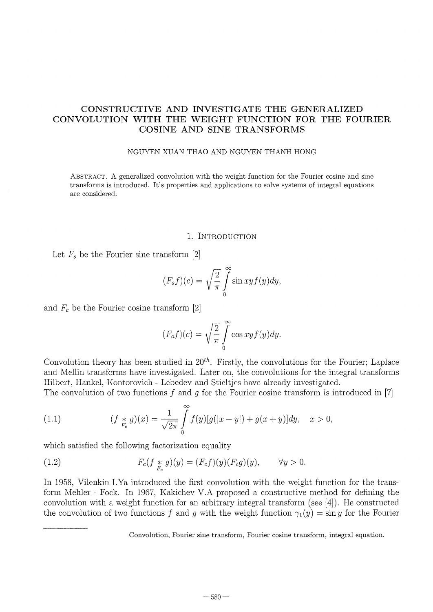## **CONSTRUCTIVE AND INVESTIGATE THE GENERALIZED CONVOLUTION WITH THE WEIGHT FUNCTION FOR THE FOURIER COSINE AND SINE TRANSFORMS**

#### NGUYEN XUAN THAO AND NGUYEN THANH HONG

ABSTRACT. A generalized convolution with the weight function for the Fourier cosine and sine transforms is introduced. It's properties and applications to solve systems of integral equations are considered.

#### 1. INTRODUCTION

Let  $F_s$  be the Fourier sine transform  $[2]$ 

$$
(F_s f)(c) = \sqrt{\frac{2}{\pi}} \int_{0}^{\infty} \sin xy f(y) dy,
$$

and  $F_c$  be the Fourier cosine transform  $[2]$ 

$$
(F_c f)(c) = \sqrt{\frac{2}{\pi}} \int_{0}^{\infty} \cos xy f(y) dy.
$$

Convolution theory has been studied in  $20^{th}$ . Firstly, the convolutions for the Fourier; Laplace and Mellin transforms have investigated. Later on, the convolutions for the integral transforms Hilbert, Hankel, Kontorovich - Lebedev and Stieltjes have already investigated.

The convolution of two functions  $f$  and  $g$  for the Fourier cosine transform is introduced in [7]

(1.1) 
$$
(f *_{F_c} g)(x) = \frac{1}{\sqrt{2\pi}} \int_{0}^{\infty} f(y)[g(|x-y|) + g(x+y)]dy, \quad x > 0,
$$

which satisfied the following factorization equality

(1.2) 
$$
F_c(f *_{F_c} g)(y) = (F_c f)(y)(F_c g)(y), \quad \forall y > 0.
$$

In 1958, Vilenkin LYa introduced the first convolution with the weight function for the transform Mehler - Fock. In 1967, Kakichev V.A proposed a constructive method for defining the convolution with a weight function for an arbitrary integral transform (see [4]). He constructed the convolution of two functions f and g with the weight function  $\gamma_1(y) = \sin y$  for the Fourier

Convolution, Fourier sine transform, Fourier cosine transform, integral equation.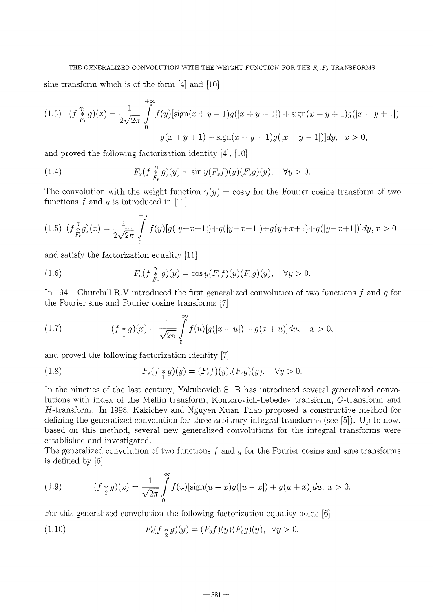## THE GENERALIZED CONVOLUTION WITH THE WEIGHT FUNCTION FOR THE  $F_c, F_s$  TRANSFORMS

sine transform which is of the form [4] and [10]

$$
(1.3) \quad (f_{F_s}^{\gamma_1} g)(x) = \frac{1}{2\sqrt{2\pi}} \int_{0}^{+\infty} f(y)[\text{sign}(x+y-1)g(|x+y-1|) + \text{sign}(x-y+1)g(|x-y+1|) - g(x+y+1) - \text{sign}(x-y-1)g(|x-y-1|)]dy, \quad x > 0,
$$

and proved the following factorization identity [4], [10]

(1.4) 
$$
F_s(f_{F_s}^{\gamma_1} g)(y) = \sin y(F_s f)(y)(F_s g)(y), \quad \forall y > 0.
$$

The convolution with the weight function  $\gamma(y) = \cos y$  for the Fourier cosine transform of two functions f and g is introduced in [11]

$$
(1.5)\ \ (f\underset{F_c}{\overset{\gamma}{\star}}g)(x) = \frac{1}{2\sqrt{2\pi}}\int\limits_{0}^{+\infty} f(y)[g(|y+x-1|)+g(|y-x-1|)+g(y+x+1)+g(|y-x+1|)]dy, x > 0
$$

and satisfy the factorization equality [11]

(1.6) 
$$
F_c(f_{F_c}^{\gamma} g)(y) = \cos y(F_c f)(y)(F_c g)(y), \quad \forall y > 0.
$$

In 1941, Churchill R.V introduced the first generalized convolution of two functions f and q for the Fourier sine and Fourier cosine transforms [7]

(1.7) 
$$
(f * g)(x) = \frac{1}{\sqrt{2\pi}} \int_{0}^{\infty} f(u)[g(|x-u|) - g(x+u)]du, \quad x > 0,
$$

and proved the following factorization identity [7]

(1.8) 
$$
F_s(f * g)(y) = (F_s f)(y) \cdot (F_c g)(y), \quad \forall y > 0.
$$

In the nineties of the last century, Yakubovich S. B has introduced several generalized convolutions with index of the Mellin transform, Kontorovich-Lebedev transform, G-transform and H-transform. In 1998, Kakichev and Nguyen Xuan Thao proposed a constructive method for defining the generalized convolution for three arbitrary integral transforms (see [5]). Up to now, based on this method, several new generalized convolutions for the integral transforms were established and investigated.

The generalized convolution of two functions  $f$  and  $g$  for the Fourier cosine and sine transforms is defined by [6]

(1.9) 
$$
(f *_{2} g)(x) = \frac{1}{\sqrt{2\pi}} \int_{0}^{\infty} f(u)[\text{sign}(u-x)g(|u-x|) + g(u+x)]du, \ x > 0.
$$

For this generalized convolution the following factorization equality holds [6]

(1.10) 
$$
F_c(f *_{2} g)(y) = (F_s f)(y)(F_s g)(y), \quad \forall y > 0.
$$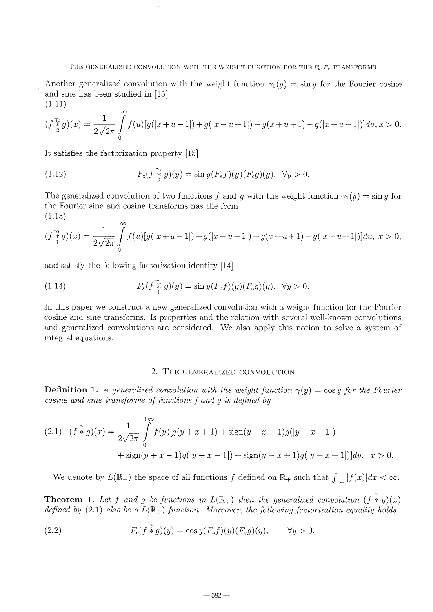Another generalized convolution with the weight function  $\gamma_1(y) = \sin y$  for the Fourier cosine and sine has been studied in [15]  $(1.11)$ 

$$
(f_{\frac{1}{2}}^{\gamma_1}g)(x) = \frac{1}{2\sqrt{2\pi}} \int_{0}^{\infty} f(u)[g(|x+u-1|) + g(|x-u+1|) - g(x+u+1) - g(|x-u-1|)]du, x > 0.
$$

It satisfies the factorization property [15]

(1.12) 
$$
F_c(f_{\frac{x}{2}}^{\gamma_1}g)(y) = \sin y(F_sf)(y)(F_cg)(y), \quad \forall y > 0.
$$

The generalized convolution of two functions f and g with the weight function  $\gamma_1(y) = \sin y$  for the Fourier sine and cosine transforms has the form  $(1.13)$ 

$$
(f_{1}^{\gamma_{1}}g)(x) = \frac{1}{2\sqrt{2\pi}} \int_{0}^{\infty} f(u)[g(|x+u-1|) + g(|x-u-1|) - g(x+u+1) - g(|x-u+1|)]du, \ x > 0,
$$

and satisfy the following factorization identity [14]

(1.14) 
$$
F_s(f_{\frac{x}{1}}^{\gamma_1}g)(y) = \sin y(F_c f)(y)(F_c g)(y), \quad \forall y > 0.
$$

In this paper we construct a new generalized convolution with a weight function for the Fourier cosine and sine transforms. Is properties and the relation with several well-known convolutions and generalized convolutions are considered. We also apply this notion to solve a system of integral equations.

#### 2. THE GENERALIZED CONVOLUTION

**Definition 1.** *A generalized convolution with the weight function*  $\gamma(y) = \cos y$  *for the Fourier cosine and sine transforms of functions f and* 9 *is defined by* 

$$
(2.1) \quad (f * g)(x) = \frac{1}{2\sqrt{2\pi}} \int_{0}^{+\infty} f(y)[g(y+x+1) + \text{sign}(y-x-1)g(|y-x-1|) + \text{sign}(y+x-1)g(|y+x-1|) + \text{sign}(y-x+1)g(|y-x+1|)]dy, \quad x > 0.
$$

We denote by  $L(\mathbb{R}_+)$  the space of all functions  $f$  defined on  $\mathbb{R}_+$  such that  $\int_{-\frac{1}{2}} |f(x)| dx < \infty$ .

**Theorem 1.** Let f and g be functions in  $L(\mathbb{R}_+)$  then the generalized convolution  $(f * g)(x)$ *defined by* (2.1) *also be a L(R<sub>+</sub>) function. Moreover, the following factorization equality holds* 

(2.2) 
$$
F_c(f^{\gamma} g)(y) = \cos y(F_s f)(y)(F_s g)(y), \qquad \forall y > 0.
$$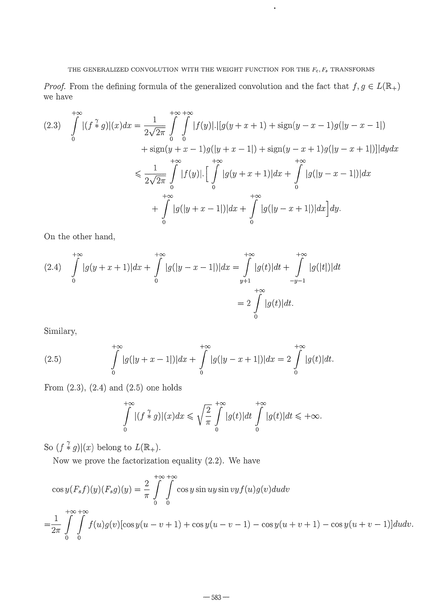$\ddot{\phantom{0}}$ 

*Proof.* From the defining formula of the generalized convolution and the fact that  $f, g \in L(\mathbb{R}_+)$ we have

$$
(2.3) \quad \int_{0}^{+\infty} |(f * g)|(x)dx = \frac{1}{2\sqrt{2\pi}} \int_{0}^{+\infty} \int_{0}^{+\infty} |f(y)| \cdot |[g(y+x+1) + \text{sign}(y-x-1)g(|y-x-1|) + \text{sign}(y+x-1)g(|y+x-1|) + \text{sign}(y-x+1)g(|y-x+1|)]|dydx
$$
  

$$
\leq \frac{1}{2\sqrt{2\pi}} \int_{0}^{+\infty} |f(y)| \cdot \left[ \int_{0}^{+\infty} |g(y+x+1)|dx + \int_{0}^{+\infty} |g(|y-x-1|)|dx + \int_{0}^{+\infty} |g(|y-x+1|)|dx \right]
$$
  
+ 
$$
\int_{0}^{+\infty} |g(|y+x-1|)|dx + \int_{0}^{+\infty} |g(|y-x+1|)|dx \right]dy.
$$

On the other hand,

$$
(2.4) \quad \int_{0}^{+\infty} |g(y+x+1)| dx + \int_{0}^{+\infty} |g(|y-x-1|)| dx = \int_{y+1}^{+\infty} |g(t)| dt + \int_{-y-1}^{+\infty} |g(|t|)| dt
$$

$$
= 2 \int_{0}^{+\infty} |g(t)| dt.
$$

Similary,

(2.5) 
$$
\int_{0}^{+\infty} |g(|y+x-1|)| dx + \int_{0}^{+\infty} |g(|y-x+1|)| dx = 2 \int_{0}^{+\infty} |g(t)| dt.
$$

From  $(2.3)$ ,  $(2.4)$  and  $(2.5)$  one holds

$$
\int_{0}^{+\infty} |(f \stackrel{\gamma}{*} g)|(x)dx \leq \sqrt{\frac{2}{\pi}} \int_{0}^{+\infty} |g(t)|dt \int_{0}^{+\infty} |g(t)|dt \leq +\infty.
$$

So  $(f * g)|(x)$  belong to  $L(\mathbb{R}_+)$ .

Now we prove the factorization equality (2.2). We have

$$
\cos y(F_s f)(y)(F_s g)(y) = \frac{2}{\pi} \int_{0}^{+\infty} \int_{0}^{+\infty} \cos y \sin uy \sin vy f(u)g(v) du dv
$$
  
=  $\frac{1}{2\pi} \int_{0}^{+\infty} \int_{0}^{+\infty} f(u)g(v)[\cos y(u-v+1) + \cos y(u-v-1) - \cos y(u+v+1) - \cos y(u+v-1)] du dv.$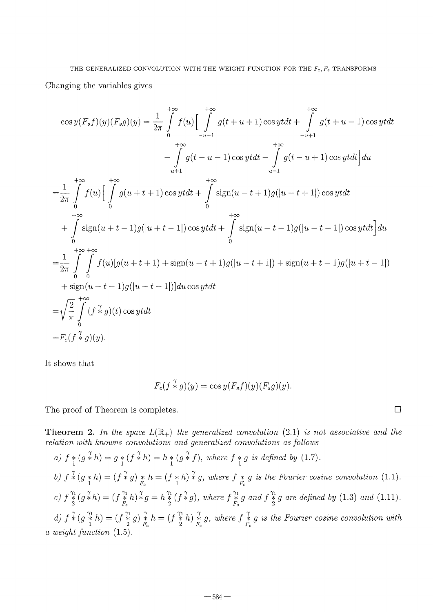Changing the variables gives

$$
\cos y(F_s f)(y)(F_s g)(y) = \frac{1}{2\pi} \int_0^{+\infty} f(u) \left[ \int_{-u-1}^{+\infty} g(t+u+1) \cos yt dt + \int_{-u+1}^{+\infty} g(t+u-1) \cos yt dt \right. \\ - \int_{u+1}^{+\infty} g(t-u-1) \cos yt dt - \int_{u-1}^{+\infty} g(t-u+1) \cos yt dt \Big] du
$$
  
\n
$$
= \frac{1}{2\pi} \int_0^{+\infty} f(u) \left[ \int_0^{+\infty} g(u+t+1) \cos yt dt + \int_0^{+\infty} \text{sign}(u-t+1)g(|u-t+1|) \cos yt dt \right. \\ + \int_{0}^{+\infty} \text{sign}(u+t-1)g(|u+t-1|) \cos yt dt + \int_0^{+\infty} \text{sign}(u-t-1)g(|u-t-1|) \cos yt dt \Big] du
$$
  
\n
$$
= \frac{1}{2\pi} \int_0^{+\infty} \int_0^{+\infty} f(u) [g(u+t+1) + \text{sign}(u-t+1)g(|u-t+1|) + \text{sign}(u+t-1)g(|u+t-1|)
$$
  
\n
$$
+ \text{sign}(u-t-1)g(|u-t-1|)] du \cos yt dt
$$
  
\n
$$
= \sqrt{\frac{2}{\pi}} \int_0^{+\infty} (f^{\gamma} g)(t) \cos yt dt
$$
  
\n
$$
= F_c(f^{\gamma} g)(y).
$$

It shows that

$$
F_c(f * g)(y) = \cos y(F_s f)(y)(F_s g)(y).
$$

The proof of Theorem is completes.  $\Box$ 

**Theorem 2.** In the space  $L(\mathbb{R}_+)$  the generalized convolution (2.1) is not associative and the *relation with knowns convolutions and generalized convolutions as follows* 

\n- a) 
$$
f * (g * h) = g * (f * h) = h * (g * f)
$$
, where  $f * g$  is defined by (1.7).
\n- b)  $f * (g * h) = (f * g) * h = (f * h) * g$ , where  $f * g$  is the Fourier cosine convolution (1.1).
\n- c)  $f * (g * h) = (f * h) * g = h * (f * g)$ , where  $f * g$  and  $f * g$  are defined by (1.3) and (1.11).
\n- d)  $f * (g * h) = (f * g) * h = (f * g) * h = (f * h) * g$ , where  $f * g$  is the Fourier cosine convolution with a weight function (1.5).
\n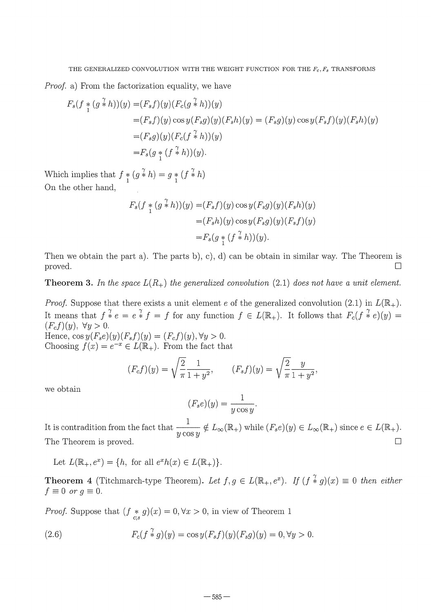*Proof.* a) From the factorization equality, we have

$$
F_s(f *_{1} (g * h))(y) = (F_s f)(y) (F_c(g * h))(y)
$$
  
=  $(F_s f)(y) \cos y (F_s g)(y) (F_s h)(y) = (F_s g)(y) \cos y (F_s f)(y) (F_s h)(y)$   
=  $(F_s g)(y) (F_c(f * h))(y)$   
=  $F_s(g *_{1} (f * h))(y).$ 

Which implies that  $f * (g * h) = g * (f * h)$ On the other hand,

$$
F_s(f *_{1} (g * h))(y) = (F_s f)(y) \cos y (F_s g)(y) (F_s h)(y)
$$
  
=  $(F_s h)(y) \cos y (F_s g)(y) (F_s f)(y)$   
=  $F_s(g *_{1} (f * h))(y).$ 

Then we obtain the part a). The parts b), c), d) can be obtain in similar way. The Theorem is  $\rho$  proved.  $\Box$ 

**Theorem 3.** In the space  $L(R_+)$  the generalized convolution (2.1) does not have a unit element.

*Proof.* Suppose that there exists a unit element e of the generalized convolution (2.1) in  $L(\mathbb{R}_+)$ . It means that  $f * e = e * f = f$  for any function  $f \in L(\mathbb{R}_+)$ . It follows that  $F_c(f * e)(y) =$  $(F_c f)(y), \ \forall y > 0.$ 

Hence,  $\cos y(F_se)(y)(F_sf)(y) = (F_cf)(y), \forall y > 0.$ Choosing  $f(x) = e^{-x} \in L(\mathbb{R}_+)$ . From the fact that

$$
(F_c f)(y) = \sqrt{\frac{2}{\pi}} \frac{1}{1 + y^2}, \qquad (F_s f)(y) = \sqrt{\frac{2}{\pi}} \frac{y}{1 + y^2},
$$

we obtain

$$
(F_s e)(y) = \frac{1}{y \cos y}.
$$

1  $(T_s e)(y) = \frac{y \cos y}{y \cos y}.$ <br>It is contradition from the fact that  $\frac{1}{y \cos y} \notin L_\infty(\mathbb{R}_+)$  while  $(F_s e)(y) \in L_\infty(\mathbb{R}_+)$  since  $e \in L(\mathbb{R}_+).$ The Theorem is proved.  $\Box$ 

Let  $L(\mathbb{R}_+, e^x) = \{h, \text{ for all } e^x h(x) \in L(\mathbb{R}_+) \}.$ 

**Theorem 4** (Titchmarch-type Theorem). Let  $f, g \in L(\mathbb{R}_+, e^x)$ . If  $(f \nmid g)(x) \equiv 0$  then either  $f \equiv 0 \text{ or } q \equiv 0.$ 

*Proof.* Suppose that  $(f * g)(x) = 0, \forall x > 0$ , in view of Theorem 1

(2.6) 
$$
F_c(f \, \hat{\star} \, g)(y) = \cos y(F_s f)(y)(F_s g)(y) = 0, \forall y > 0.
$$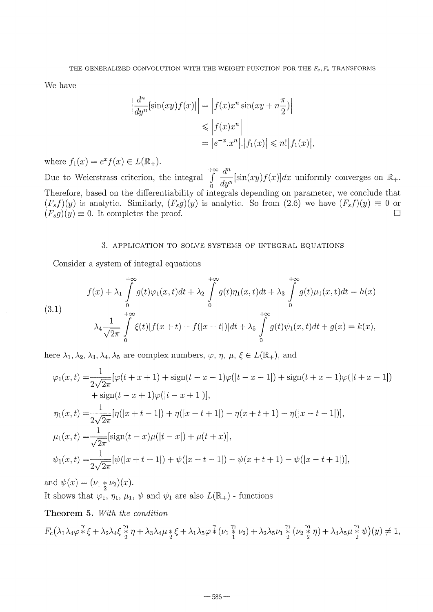We have

$$
\left| \frac{d^n}{dy^n} [\sin(xy) f(x)] \right| = \left| f(x)x^n \sin(xy + n\frac{\pi}{2}) \right|
$$
  

$$
\leq \left| f(x)x^n \right|
$$
  

$$
= \left| e^{-x} . x^n \right| \cdot \left| f_1(x) \right| \leq n! \left| f_1(x) \right|,
$$

where  $f_1(x) = e^x f(x) \in L(\mathbb{R}_+).$ 

Due to Weierstrass criterion, the integral  $\int \frac{dS}{dt}$ *n*   $\int_0^{\infty} \frac{d}{dy^n} [\sin(xy)f(x)]dx$  uniformly converges on  $\mathbb{R}_+$ . Therefore, based on the differentiability of integrals depending on parameter, we conclude that  $(F_s f)(y)$  is analytic. Similarly,  $(F_s g)(y)$  is analytic. So from (2.6) we have  $(F_s f)(y) \equiv 0$  or  $(F_s g)(y) \equiv 0$ . It completes the proof.  $\square$ 

## 3. APPLICATION TO SOLVE SYSTEMS OF INTEGRAL EQUATIONS

Consider a system of integral equations

(3.1) 
$$
f(x) + \lambda_1 \int_{0}^{+\infty} g(t)\varphi_1(x,t)dt + \lambda_2 \int_{0}^{+\infty} g(t)\eta_1(x,t)dt + \lambda_3 \int_{0}^{+\infty} g(t)\mu_1(x,t)dt = h(x)
$$

$$
\lambda_4 \frac{1}{\sqrt{2\pi}} \int_{0}^{+\infty} \xi(t)[f(x+t) - f(|x-t|)]dt + \lambda_5 \int_{0}^{+\infty} g(t)\psi_1(x,t)dt + g(x) = k(x),
$$

here  $\lambda_1, \lambda_2, \lambda_3, \lambda_4, \lambda_5$  are complex numbers,  $\varphi, \eta, \mu, \xi \in L(\mathbb{R}_+)$ , and

$$
\varphi_1(x,t) = \frac{1}{2\sqrt{2\pi}} [\varphi(t+x+1) + \text{sign}(t-x-1)\varphi(|t-x-1|) + \text{sign}(t+x-1)\varphi(|t+x-1|) \n+ \text{sign}(t-x+1)\varphi(|t-x+1|)],
$$
\n
$$
\eta_1(x,t) = \frac{1}{2\sqrt{2\pi}} [\eta(|x+t-1|) + \eta(|x-t+1|) - \eta(x+t+1) - \eta(|x-t-1|)],
$$
\n
$$
\mu_1(x,t) = \frac{1}{\sqrt{2\pi}} [\text{sign}(t-x)\mu(|t-x|) + \mu(t+x)],
$$
\n
$$
\psi_1(x,t) = \frac{1}{2\sqrt{2\pi}} [\psi(|x+t-1|) + \psi(|x-t-1|) - \psi(x+t+1) - \psi(|x-t+1|)],
$$

and  $\psi(x) = (\nu_1 * \nu_2)(x)$ .

It shows that  $\varphi_1$ ,  $\eta_1$ ,  $\mu_1$ ,  $\psi$  and  $\psi_1$  are also  $L(\mathbb{R}_+)$  - functions

**Theorem 5.** *With the condition* 

$$
F_c(\lambda_1\lambda_4\varphi \stackrel{\gamma}{*} \xi + \lambda_2\lambda_4\xi \stackrel{\gamma_1}{\underset{2}{*}} \eta + \lambda_3\lambda_4\mu \stackrel{\ast}{*} \xi + \lambda_1\lambda_5\varphi \stackrel{\gamma}{*}(\nu_1 \stackrel{\gamma_1}{\underset{1}{*}} \nu_2) + \lambda_2\lambda_5\nu_1 \stackrel{\gamma_1}{\underset{2}{*}}(\nu_2 \stackrel{\gamma_1}{\underset{2}{*}} \eta) + \lambda_3\lambda_5\mu \stackrel{\gamma_1}{\underset{2}{*}} \psi)(y) \neq 1,
$$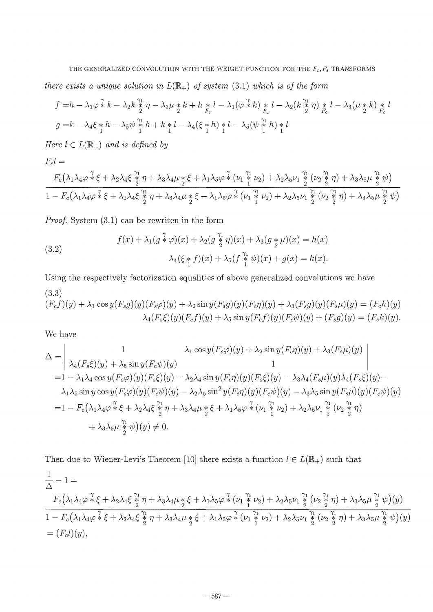## THE GENERALIZED CONVOLUTION WITH THE WEIGHT FUNCTION FOR THE *Fc,Fs* TRANSFORMS

*there exists a unique solution in*  $L(\mathbb{R}_+)$  *of system* (3.1) *which is of the form* 

$$
f = h - \lambda_1 \varphi \tilde{*} k - \lambda_2 k \frac{\gamma_1}{\tilde{z}} \eta - \lambda_3 \mu \frac{\kappa}{2} k + h \frac{\kappa}{F_c} l - \lambda_1 (\varphi \tilde{*} k) \frac{\kappa}{F_c} l - \lambda_2 (k \frac{\gamma_1}{\tilde{z}} \eta) \frac{\kappa}{F_c} l - \lambda_3 (\mu \frac{\kappa}{2} k) \frac{\kappa}{F_c} l
$$
  

$$
g = k - \lambda_4 \xi \frac{\kappa}{1} h - \lambda_5 \psi \frac{\gamma_1}{\tilde{z}} h + k \frac{\kappa}{1} l - \lambda_4 (\xi \frac{\kappa}{1} h) \frac{\kappa}{1} l - \lambda_5 (\psi \frac{\gamma_1}{\tilde{z}} h) \frac{\kappa}{1} l
$$

*Here*  $l \in L(\mathbb{R}_+)$  *and is defined by* 

$$
F_c l =
$$

$$
\frac{F_c(\lambda_1\lambda_4\varphi \stackrel{\gamma}{*} \xi + \lambda_2\lambda_4\xi \stackrel{\gamma_1}{\underset{2}{*}} \eta + \lambda_3\lambda_4\mu \stackrel{*}{*} \xi + \lambda_1\lambda_5\varphi \stackrel{\gamma}{*}(\nu_1 \stackrel{\gamma_1}{\underset{1}{*}} \nu_2) + \lambda_2\lambda_5\nu_1 \stackrel{\gamma_1}{\underset{2}{*}}(\nu_2 \stackrel{\gamma_1}{\underset{2}{*}} \eta) + \lambda_3\lambda_5\mu \stackrel{\gamma_1}{\underset{2}{*}}\psi)\n1 - F_c(\lambda_1\lambda_4\varphi \stackrel{\gamma}{*} \xi + \lambda_2\lambda_4\xi \stackrel{\gamma_1}{\underset{2}{*}} \eta + \lambda_3\lambda_4\mu \stackrel{*}{*} \xi + \lambda_1\lambda_5\varphi \stackrel{\gamma}{*}(\nu_1 \stackrel{\gamma_1}{\underset{1}{*}} \nu_2) + \lambda_2\lambda_5\nu_1 \stackrel{\gamma_1}{\underset{2}{*}}(\nu_2 \stackrel{\gamma_1}{\underset{2}{*}} \eta) + \lambda_3\lambda_5\mu \stackrel{\gamma_1}{\underset{2}{*}}\psi)
$$

*Proof.* System  $(3.1)$  can be rewriten in the form

(3.2) 
$$
f(x) + \lambda_1 (g \stackrel{\gamma}{*} \varphi)(x) + \lambda_2 (g \stackrel{\gamma_1}{*} \eta)(x) + \lambda_3 (g \stackrel{\gamma}{*} \mu)(x) = h(x) \lambda_4 (\xi \stackrel{\gamma}{*} f)(x) + \lambda_5 (f \stackrel{\gamma_1}{*} \psi)(x) + g(x) = k(x).
$$

Using the respectively factorization equalities of above generalized convolutions we have (3.3)

$$
(F_c f)(y) + \lambda_1 \cos y(F_s g)(y)(F_s \varphi)(y) + \lambda_2 \sin y(F_s g)(y)(F_c \eta)(y) + \lambda_3 (F_s g)(y)(F_s \mu)(y) = (F_c h)(y)
$$

$$
\lambda_4 (F_s \xi)(y)(F_c f)(y) + \lambda_5 \sin y(F_c f)(y)(F_c \psi)(y) + (F_s g)(y) = (F_s k)(y).
$$

We have

6.= 1 }..1 cos *y(Fscp) (y)* +}..2 sin *y(Fe1]) (y)* + *}..3(Fs{L)(y)*  }..4(Fs~)(Y) +}..5 siny(FeW)(Y) 1 =1 }..1}..4 cos *y(Fscp) (y)* (Fs~) *(y)* - }..2}..4 sin *y(Fc1]) (y) (Fst;) (y)* - }..3}..4 *(Fsl-l) (y* )}..4 *(Fst;) (y)-* }..1}..5 sin *y* cos *y(Fscp) (y )(FeW) (y)* }..2}..5 sin<sup>2</sup>*y( Fc1]) (y) (FeW) (y)* - }..3}..5 sin *y( Fsl-l) (y) (Fc1/J) (y)*  ( I ')'1 I -11 11 -11 =1 - *Fe }..1}..4CP* \* ~ + *}..2}..4t;* \* 1] + *}..3}..Ml* \* ~ + *}..1}..5CP* \* *(VI* \* *V2)* + }..')}..5 Vl \* *(V2* \* 1]) 2 2 1 - 2 2 + *}..3}..5Jl* ~ *W)(y)* -=I- O.

Then due to Wiener-Levi's Theorem [10] there exists a function  $l\in L(\mathbb{R}_+)$  such that

$$
\frac{1}{\Delta} - 1 =
$$
\n
$$
\frac{F_c(\lambda_1 \lambda_4 \varphi \sqrt[3]{\xi} + \lambda_2 \lambda_4 \xi \sqrt[3]{\frac{1}{2}} \eta + \lambda_3 \lambda_4 \mu \sqrt[3]{\xi} + \lambda_1 \lambda_5 \varphi \sqrt[3]{(\nu_1 \sqrt[3]{\frac{1}{2}} \nu_2)} + \lambda_2 \lambda_5 \nu_1 \sqrt[3]{\frac{1}{2}} (\nu_2 \sqrt[3]{\frac{1}{2}} \eta) + \lambda_3 \lambda_5 \mu \sqrt[3]{\frac{1}{2}} \psi)(y)
$$
\n
$$
1 - F_c(\lambda_1 \lambda_4 \varphi \sqrt[3]{\xi} + \lambda_2 \lambda_4 \xi \sqrt[3]{\frac{1}{2}} \eta + \lambda_3 \lambda_4 \mu \sqrt[3]{\xi} + \lambda_1 \lambda_5 \varphi \sqrt[3]{(\nu_1 \sqrt[3]{\frac{1}{2}} \nu_2)} + \lambda_2 \lambda_5 \nu_1 \sqrt[3]{\frac{1}{2}} (\nu_2 \sqrt[3]{\frac{1}{2}} \eta) + \lambda_3 \lambda_5 \mu \sqrt[3]{\frac{1}{2}} \psi)(y)
$$
\n
$$
= (F_c l)(y),
$$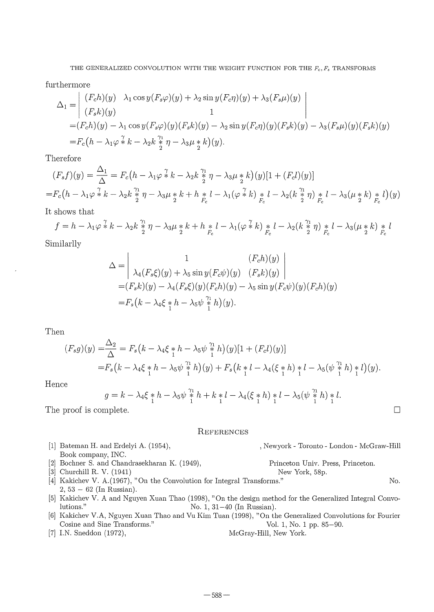furthermore

$$
\Delta_1 = \begin{vmatrix}\n(F_c h)(y) & \lambda_1 \cos y (F_s \varphi)(y) + \lambda_2 \sin y (F_c \eta)(y) + \lambda_3 (F_s \mu)(y) \\
(F_s k)(y) & 1\n\end{vmatrix}
$$
\n
$$
= (F_c h)(y) - \lambda_1 \cos y (F_s \varphi)(y) (F_s k)(y) - \lambda_2 \sin y (F_c \eta)(y) (F_s k)(y) - \lambda_3 (F_s \mu)(y) (F_s k)(y)
$$
\n
$$
= F_c (h - \lambda_1 \varphi \stackrel{\gamma}{*} k - \lambda_2 k \stackrel{\gamma_1}{*} \eta - \lambda_3 \mu \stackrel{\ast}{*} k)(y).
$$

Therefore

$$
(F_s f)(y) = \frac{\Delta_1}{\Delta} = F_c (h - \lambda_1 \varphi \tilde{*} k - \lambda_2 k \frac{\gamma_1}{2} \eta - \lambda_3 \mu \frac{\gamma_2}{2} k) (y) [1 + (F_c l)(y)]
$$
  
=  $F_c (h - \lambda_1 \varphi \tilde{*} k - \lambda_2 k \frac{\gamma_1}{2} \eta - \lambda_3 \mu \frac{\gamma_2}{2} k + h \frac{\gamma_1}{2} l - \lambda_1 (\varphi \tilde{*} k) \frac{\gamma_2}{2} l - \lambda_2 (k \frac{\gamma_1}{2} \eta) \frac{\gamma_2}{2} l - \lambda_3 (\mu \frac{\gamma_2}{2} k) \frac{\gamma_1}{2} l) (y)$ 

It shows that

$$
f = h - \lambda_1 \varphi \tilde{*} k - \lambda_2 k \frac{\gamma_1}{2} \eta - \lambda_3 \mu \frac{\gamma_2}{2} k + h \frac{\gamma_1}{2} \mu - \lambda_1 (\varphi \tilde{*} k) \frac{\gamma_1}{2} \mu - \lambda_2 (k \frac{\gamma_1}{2} \eta) \frac{\gamma_2}{2} \mu - \lambda_3 (\mu \frac{\gamma_2}{2} k) \frac{\gamma_1}{2} k
$$

Similarlly

$$
\Delta = \begin{vmatrix}\n1 & (F_c h)(y) \\
\lambda_4 (F_s \xi)(y) + \lambda_5 \sin y (F_c \psi)(y) & (F_s k)(y) \\
=(F_s k)(y) - \lambda_4 (F_s \xi)(y)(F_c h)(y) - \lambda_5 \sin y (F_c \psi)(y)(F_c h)(y) \\
= F_s (k - \lambda_4 \xi \frac{*}{1} h - \lambda_5 \psi \frac{\gamma_1}{1} h)(y).\n\end{vmatrix}
$$

Then

$$
(F_s g)(y) = \frac{\Delta_2}{\Delta} = F_s (k - \lambda_4 \xi \frac{*}{1} h - \lambda_5 \psi \frac{\gamma_1}{1} h)(y) [1 + (F_c l)(y)]
$$
  
=  $F_s (k - \lambda_4 \xi \frac{*}{1} h - \lambda_5 \psi \frac{\gamma_1}{1} h)(y) + F_s (k \frac{*}{1} l - \lambda_4 (\xi \frac{*}{1} h) \frac{*}{1} l - \lambda_5 (\psi \frac{\gamma_1}{1} h) \frac{*}{1} l)(y).$ 

Hence

$$
g = k - \lambda_4 \xi \frac{1}{1} h - \lambda_5 \psi \frac{1}{1} h + k \frac{1}{1} l - \lambda_4 (\xi \frac{1}{1} h) \frac{1}{1} l - \lambda_5 (\psi \frac{1}{1} h) \frac{1}{1} l.
$$

 $\Box$ 

The proof is complete.

#### **REFERENCES**

- [1] Bateman H. and Erdelyi A. (1954),  $\qquad \qquad$ , Newyork Toronto London McGraw-Hill Book company, INC. [2] Bochner S. and Chandrasekharan K. (1949), Princeton Univ. Press, Princeton.
- 
- [3] Churchill R. V. (1941) New York, 58p. [4] Kakichev V. A.(1967), "On the Convolution for Integral Transforms." No.  $2, 53 - 62$  (In Russian).
- [5] Kakichev V. A and Nguyen Xuan Thao (1998), "On the design method for the Generalized Integral Convolutions." No. 1,31-40 (In Russian).
- [6] Kakichev V.A, Nguyen Xuan Thao and Vu Kim Tuan (1998), "On the Generalized Convolutions for Fourier Cosine and Sine Transforms." Vol. 1, No. 1 pp. 85–90.
- [7] I.N. Sneddon (1972), McGray-Hill, New York.